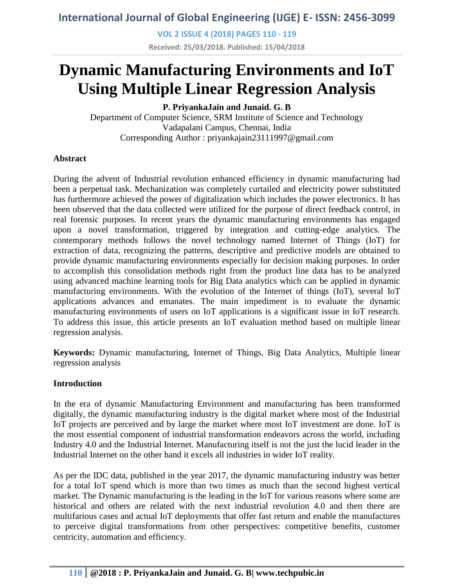**VOL 2 ISSUE 4 (2018) PAGES 110 - 119**

**Received: 25/03/2018. Published: 15/04/2018**

# **Dynamic Manufacturing Environments and IoT Using Multiple Linear Regression Analysis**

**P. PriyankaJain and Junaid. G. B**

Department of Computer Science, SRM Institute of Science and Technology Vadapalani Campus, Chennai, India Corresponding Author : priyankajain23111997@gmail.com

### **Abstract**

During the advent of Industrial revolution enhanced efficiency in dynamic manufacturing had been a perpetual task. Mechanization was completely curtailed and electricity power substituted has furthermore achieved the power of digitalization which includes the power electronics. It has been observed that the data collected were utilized for the purpose of direct feedback control, in real forensic purposes. In recent years the dynamic manufacturing environments has engaged upon a novel transformation, triggered by integration and cutting-edge analytics. The contemporary methods follows the novel technology named Internet of Things (IoT) for extraction of data, recognizing the patterns, descriptive and predictive models are obtained to provide dynamic manufacturing environments especially for decision making purposes. In order to accomplish this consolidation methods right from the product line data has to be analyzed using advanced machine learning tools for Big Data analytics which can be applied in dynamic manufacturing environments. With the evolution of the Internet of things (IoT), several IoT applications advances and emanates. The main impediment is to evaluate the dynamic manufacturing environments of users on IoT applications is a significant issue in IoT research. To address this issue, this article presents an IoT evaluation method based on multiple linear regression analysis.

**Keywords:** Dynamic manufacturing, Internet of Things, Big Data Analytics, Multiple linear regression analysis

#### **Introduction**

In the era of dynamic Manufacturing Environment and manufacturing has been transformed digitally, the dynamic manufacturing industry is the digital market where most of the Industrial IoT projects are perceived and by large the market where most IoT investment are done. IoT is the most essential component of industrial transformation endeavors across the world, including Industry 4.0 and the Industrial Internet. Manufacturing itself is not the just the lucid leader in the Industrial Internet on the other hand it excels all industries in wider IoT reality.

As per the IDC data, published in the year 2017, the dynamic manufacturing industry was better for a total IoT spend which is more than two times as much than the second highest vertical market. The Dynamic manufacturing is the leading in the IoT for various reasons where some are historical and others are related with the next industrial revolution 4.0 and then there are multifarious cases and actual IoT deployments that offer fast return and enable the manufactures to perceive digital transformations from other perspectives: competitive benefits, customer centricity, automation and efficiency.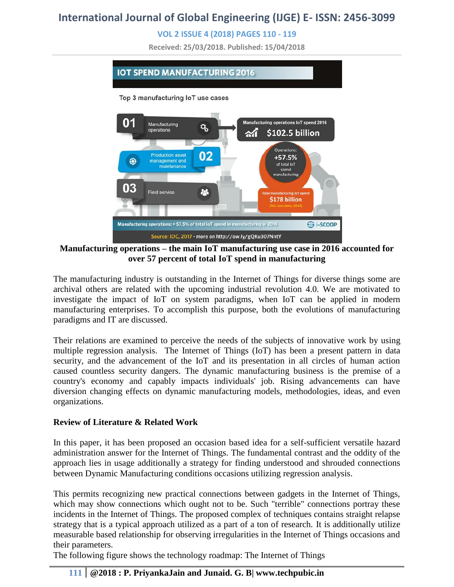### **VOL 2 ISSUE 4 (2018) PAGES 110 - 119**

**Received: 25/03/2018. Published: 15/04/2018**



**Manufacturing operations – the main IoT manufacturing use case in 2016 accounted for over 57 percent of total IoT spend in manufacturing**

The manufacturing industry is outstanding in the Internet of Things for diverse things some are archival others are related with the upcoming industrial revolution 4.0. We are motivated to investigate the impact of IoT on system paradigms, when IoT can be applied in modern manufacturing enterprises. To accomplish this purpose, both the evolutions of manufacturing paradigms and IT are discussed.

Their relations are examined to perceive the needs of the subjects of innovative work by using multiple regression analysis. The Internet of Things (IoT) has been a present pattern in data security, and the advancement of the IoT and its presentation in all circles of human action caused countless security dangers. The dynamic manufacturing business is the premise of a country's economy and capably impacts individuals' job. Rising advancements can have diversion changing effects on dynamic manufacturing models, methodologies, ideas, and even organizations.

#### **Review of Literature & Related Work**

In this paper, it has been proposed an occasion based idea for a self-sufficient versatile hazard administration answer for the Internet of Things. The fundamental contrast and the oddity of the approach lies in usage additionally a strategy for finding understood and shrouded connections between Dynamic Manufacturing conditions occasions utilizing regression analysis.

This permits recognizing new practical connections between gadgets in the Internet of Things, which may show connections which ought not to be. Such "terrible" connections portray these incidents in the Internet of Things. The proposed complex of techniques contains straight relapse strategy that is a typical approach utilized as a part of a ton of research. It is additionally utilize measurable based relationship for observing irregularities in the Internet of Things occasions and their parameters.

The following figure shows the technology roadmap: The Internet of Things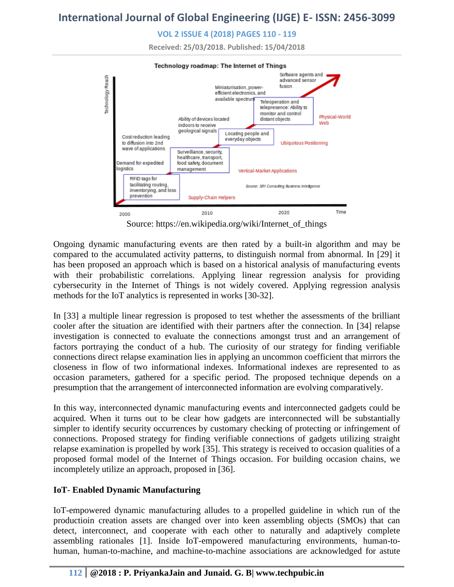**VOL 2 ISSUE 4 (2018) PAGES 110 - 119**

**Received: 25/03/2018. Published: 15/04/2018**



Source: https://en.wikipedia.org/wiki/Internet\_of\_things

Ongoing dynamic manufacturing events are then rated by a built-in algorithm and may be compared to the accumulated activity patterns, to distinguish normal from abnormal. In [29] it has been proposed an approach which is based on a historical analysis of manufacturing events with their probabilistic correlations. Applying linear regression analysis for providing cybersecurity in the Internet of Things is not widely covered. Applying regression analysis methods for the IoT analytics is represented in works [30-32].

In [33] a multiple linear regression is proposed to test whether the assessments of the brilliant cooler after the situation are identified with their partners after the connection. In [34] relapse investigation is connected to evaluate the connections amongst trust and an arrangement of factors portraying the conduct of a hub. The curiosity of our strategy for finding verifiable connections direct relapse examination lies in applying an uncommon coefficient that mirrors the closeness in flow of two informational indexes. Informational indexes are represented to as occasion parameters, gathered for a specific period. The proposed technique depends on a presumption that the arrangement of interconnected information are evolving comparatively.

In this way, interconnected dynamic manufacturing events and interconnected gadgets could be acquired. When it turns out to be clear how gadgets are interconnected will be substantially simpler to identify security occurrences by customary checking of protecting or infringement of connections. Proposed strategy for finding verifiable connections of gadgets utilizing straight relapse examination is propelled by work [35]. This strategy is received to occasion qualities of a proposed formal model of the Internet of Things occasion. For building occasion chains, we incompletely utilize an approach, proposed in [36].

### **IoT- Enabled Dynamic Manufacturing**

IoT-empowered dynamic manufacturing alludes to a propelled guideline in which run of the productioin creation assets are changed over into keen assembling objects (SMOs) that can detect, interconnect, and cooperate with each other to naturally and adaptively complete assembling rationales [1]. Inside IoT-empowered manufacturing environments, human-tohuman, human-to-machine, and machine-to-machine associations are acknowledged for astute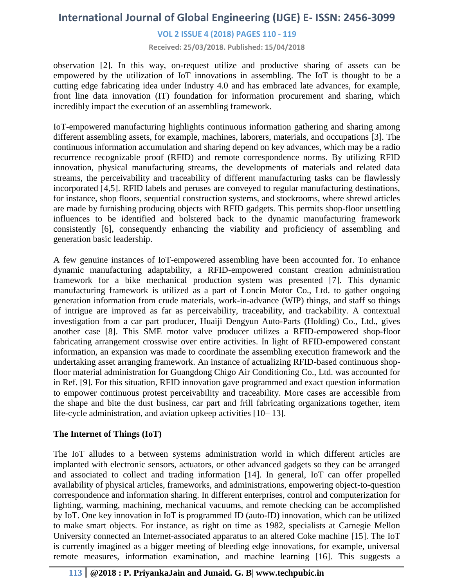#### **VOL 2 ISSUE 4 (2018) PAGES 110 - 119**

**Received: 25/03/2018. Published: 15/04/2018**

observation [2]. In this way, on-request utilize and productive sharing of assets can be empowered by the utilization of IoT innovations in assembling. The IoT is thought to be a cutting edge fabricating idea under Industry 4.0 and has embraced late advances, for example, front line data innovation (IT) foundation for information procurement and sharing, which incredibly impact the execution of an assembling framework.

IoT-empowered manufacturing highlights continuous information gathering and sharing among different assembling assets, for example, machines, laborers, materials, and occupations [3]. The continuous information accumulation and sharing depend on key advances, which may be a radio recurrence recognizable proof (RFID) and remote correspondence norms. By utilizing RFID innovation, physical manufacturing streams, the developments of materials and related data streams, the perceivability and traceability of different manufacturing tasks can be flawlessly incorporated [4,5]. RFID labels and peruses are conveyed to regular manufacturing destinations, for instance, shop floors, sequential construction systems, and stockrooms, where shrewd articles are made by furnishing producing objects with RFID gadgets. This permits shop-floor unsettling influences to be identified and bolstered back to the dynamic manufacturing framework consistently [6], consequently enhancing the viability and proficiency of assembling and generation basic leadership.

A few genuine instances of IoT-empowered assembling have been accounted for. To enhance dynamic manufacturing adaptability, a RFID-empowered constant creation administration framework for a bike mechanical production system was presented [7]. This dynamic manufacturing framework is utilized as a part of Loncin Motor Co., Ltd. to gather ongoing generation information from crude materials, work-in-advance (WIP) things, and staff so things of intrigue are improved as far as perceivability, traceability, and trackability. A contextual investigation from a car part producer, Huaiji Dengyun Auto-Parts (Holding) Co., Ltd., gives another case [8]. This SME motor valve producer utilizes a RFID-empowered shop-floor fabricating arrangement crosswise over entire activities. In light of RFID-empowered constant information, an expansion was made to coordinate the assembling execution framework and the undertaking asset arranging framework. An instance of actualizing RFID-based continuous shopfloor material administration for Guangdong Chigo Air Conditioning Co., Ltd. was accounted for in Ref. [9]. For this situation, RFID innovation gave programmed and exact question information to empower continuous protest perceivability and traceability. More cases are accessible from the shape and bite the dust business, car part and frill fabricating organizations together, item life-cycle administration, and aviation upkeep activities [10– 13].

#### **The Internet of Things (IoT)**

The IoT alludes to a between systems administration world in which different articles are implanted with electronic sensors, actuators, or other advanced gadgets so they can be arranged and associated to collect and trading information [14]. In general, IoT can offer propelled availability of physical articles, frameworks, and administrations, empowering object-to-question correspondence and information sharing. In different enterprises, control and computerization for lighting, warming, machining, mechanical vacuums, and remote checking can be accomplished by IoT. One key innovation in IoT is programmed ID (auto-ID) innovation, which can be utilized to make smart objects. For instance, as right on time as 1982, specialists at Carnegie Mellon University connected an Internet-associated apparatus to an altered Coke machine [15]. The IoT is currently imagined as a bigger meeting of bleeding edge innovations, for example, universal remote measures, information examination, and machine learning [16]. This suggests a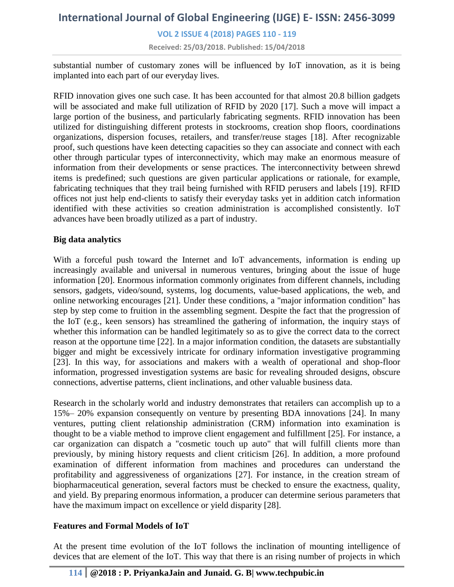### **VOL 2 ISSUE 4 (2018) PAGES 110 - 119**

**Received: 25/03/2018. Published: 15/04/2018**

substantial number of customary zones will be influenced by IoT innovation, as it is being implanted into each part of our everyday lives.

RFID innovation gives one such case. It has been accounted for that almost 20.8 billion gadgets will be associated and make full utilization of RFID by 2020 [17]. Such a move will impact a large portion of the business, and particularly fabricating segments. RFID innovation has been utilized for distinguishing different protests in stockrooms, creation shop floors, coordinations organizations, dispersion focuses, retailers, and transfer/reuse stages [18]. After recognizable proof, such questions have keen detecting capacities so they can associate and connect with each other through particular types of interconnectivity, which may make an enormous measure of information from their developments or sense practices. The interconnectivity between shrewd items is predefined; such questions are given particular applications or rationale, for example, fabricating techniques that they trail being furnished with RFID perusers and labels [19]. RFID offices not just help end-clients to satisfy their everyday tasks yet in addition catch information identified with these activities so creation administration is accomplished consistently. IoT advances have been broadly utilized as a part of industry.

#### **Big data analytics**

With a forceful push toward the Internet and IoT advancements, information is ending up increasingly available and universal in numerous ventures, bringing about the issue of huge information [20]. Enormous information commonly originates from different channels, including sensors, gadgets, video/sound, systems, log documents, value-based applications, the web, and online networking encourages [21]. Under these conditions, a "major information condition" has step by step come to fruition in the assembling segment. Despite the fact that the progression of the IoT (e.g., keen sensors) has streamlined the gathering of information, the inquiry stays of whether this information can be handled legitimately so as to give the correct data to the correct reason at the opportune time [22]. In a major information condition, the datasets are substantially bigger and might be excessively intricate for ordinary information investigative programming [23]. In this way, for associations and makers with a wealth of operational and shop-floor information, progressed investigation systems are basic for revealing shrouded designs, obscure connections, advertise patterns, client inclinations, and other valuable business data.

Research in the scholarly world and industry demonstrates that retailers can accomplish up to a 15%– 20% expansion consequently on venture by presenting BDA innovations [24]. In many ventures, putting client relationship administration (CRM) information into examination is thought to be a viable method to improve client engagement and fulfillment [25]. For instance, a car organization can dispatch a "cosmetic touch up auto" that will fulfill clients more than previously, by mining history requests and client criticism [26]. In addition, a more profound examination of different information from machines and procedures can understand the profitability and aggressiveness of organizations [27]. For instance, in the creation stream of biopharmaceutical generation, several factors must be checked to ensure the exactness, quality, and yield. By preparing enormous information, a producer can determine serious parameters that have the maximum impact on excellence or yield disparity [28].

#### **Features and Formal Models of IoT**

At the present time evolution of the IoT follows the inclination of mounting intelligence of devices that are element of the IoT. This way that there is an rising number of projects in which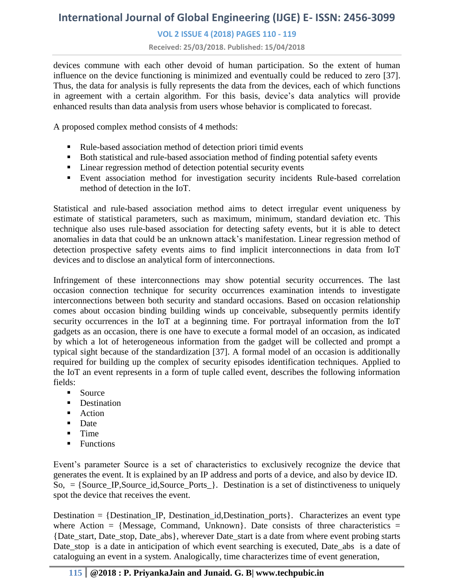### **VOL 2 ISSUE 4 (2018) PAGES 110 - 119**

**Received: 25/03/2018. Published: 15/04/2018**

devices commune with each other devoid of human participation. So the extent of human influence on the device functioning is minimized and eventually could be reduced to zero [37]. Thus, the data for analysis is fully represents the data from the devices, each of which functions in agreement with a certain algorithm. For this basis, device's data analytics will provide enhanced results than data analysis from users whose behavior is complicated to forecast.

A proposed complex method consists of 4 methods:

- Rule-based association method of detection priori timid events
- Both statistical and rule-based association method of finding potential safety events
- Linear regression method of detection potential security events
- Event association method for investigation security incidents Rule-based correlation method of detection in the IoT.

Statistical and rule-based association method aims to detect irregular event uniqueness by estimate of statistical parameters, such as maximum, minimum, standard deviation etc. This technique also uses rule-based association for detecting safety events, but it is able to detect anomalies in data that could be an unknown attack's manifestation. Linear regression method of detection prospective safety events aims to find implicit interconnections in data from IoT devices and to disclose an analytical form of interconnections.

Infringement of these interconnections may show potential security occurrences. The last occasion connection technique for security occurrences examination intends to investigate interconnections between both security and standard occasions. Based on occasion relationship comes about occasion binding building winds up conceivable, subsequently permits identify security occurrences in the IoT at a beginning time. For portrayal information from the IoT gadgets as an occasion, there is one have to execute a formal model of an occasion, as indicated by which a lot of heterogeneous information from the gadget will be collected and prompt a typical sight because of the standardization [37]. A formal model of an occasion is additionally required for building up the complex of security episodes identification techniques. Applied to the IoT an event represents in a form of tuple called event, describes the following information fields:

- **Source**
- **Destination**
- Action
- Date
- $\blacksquare$  Time
- $\blacksquare$  Functions

Event's parameter Source is a set of characteristics to exclusively recognize the device that generates the event. It is explained by an IP address and ports of a device, and also by device ID.  $\text{So, } = \{\text{Source\_IP}, \text{Source\_id}, \text{Source\_Ports\_}\}.$  Destination is a set of distinctiveness to uniquely spot the device that receives the event.

Destination  $=$  {Destination\_IP, Destination\_id,Destination\_ports}. Characterizes an event type where Action = {Message, Command, Unknown}. Date consists of three characteristics = {Date\_start, Date\_stop, Date\_abs}, wherever Date\_start is a date from where event probing starts Date stop is a date in anticipation of which event searching is executed, Date abs is a date of cataloguing an event in a system. Analogically, time characterizes time of event generation,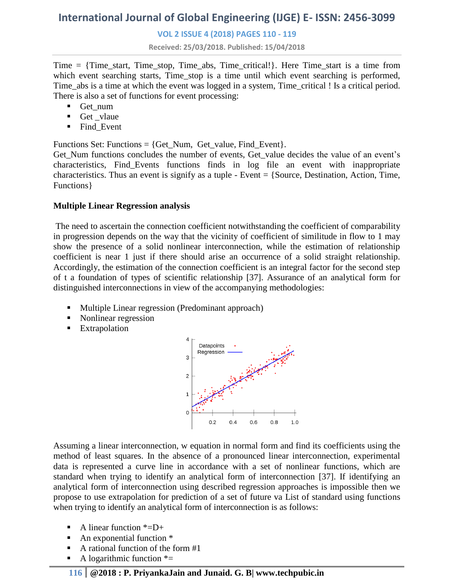#### **VOL 2 ISSUE 4 (2018) PAGES 110 - 119**

**Received: 25/03/2018. Published: 15/04/2018**

Time  $=$  {Time\_start, Time\_stop, Time\_abs, Time\_critical!}. Here Time\_start is a time\_from which event searching starts, Time\_stop is a time until which event searching is performed, Time\_abs is a time at which the event was logged in a system, Time\_critical ! Is a critical period. There is also a set of functions for event processing:

- Get\_num
- **Get** vlaue
- Find Event

Functions Set: Functions = {Get Num, Get value, Find Event}.

Get\_Num functions concludes the number of events, Get\_value decides the value of an event's characteristics, Find\_Events functions finds in log file an event with inappropriate characteristics. Thus an event is signify as a tuple - Event  $=$  {Source, Destination, Action, Time, Functions}

### **Multiple Linear Regression analysis**

The need to ascertain the connection coefficient notwithstanding the coefficient of comparability in progression depends on the way that the vicinity of coefficient of similitude in flow to 1 may show the presence of a solid nonlinear interconnection, while the estimation of relationship coefficient is near 1 just if there should arise an occurrence of a solid straight relationship. Accordingly, the estimation of the connection coefficient is an integral factor for the second step of t a foundation of types of scientific relationship [37]. Assurance of an analytical form for distinguished interconnections in view of the accompanying methodologies:

- **Multiple Linear regression (Predominant approach)**
- Nonlinear regression
- **Extrapolation**



Assuming a linear interconnection, w equation in normal form and find its coefficients using the method of least squares. In the absence of a pronounced linear interconnection, experimental data is represented a curve line in accordance with a set of nonlinear functions, which are standard when trying to identify an analytical form of interconnection [37]. If identifying an analytical form of interconnection using described regression approaches is impossible then we propose to use extrapolation for prediction of a set of future va List of standard using functions when trying to identify an analytical form of interconnection is as follows:

- A linear function  $*=D+$
- $\blacksquare$  An exponential function  $*$
- A rational function of the form #1
- A logarithmic function  $* =$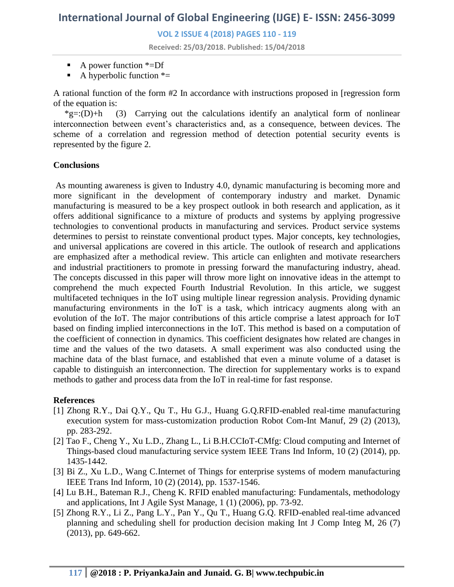**VOL 2 ISSUE 4 (2018) PAGES 110 - 119**

**Received: 25/03/2018. Published: 15/04/2018**

- A power function  $*=Df$
- A hyperbolic function  $* =$

A rational function of the form #2 In accordance with instructions proposed in [regression form of the equation is:

 $*g=:(D)+h$  (3) Carrying out the calculations identify an analytical form of nonlinear interconnection between event's characteristics and, as a consequence, between devices. The scheme of a correlation and regression method of detection potential security events is represented by the figure 2.

#### **Conclusions**

As mounting awareness is given to Industry 4.0, dynamic manufacturing is becoming more and more significant in the development of contemporary industry and market. Dynamic manufacturing is measured to be a key prospect outlook in both research and application, as it offers additional significance to a mixture of products and systems by applying progressive technologies to conventional products in manufacturing and services. Product service systems determines to persist to reinstate conventional product types. Major concepts, key technologies, and universal applications are covered in this article. The outlook of research and applications are emphasized after a methodical review. This article can enlighten and motivate researchers and industrial practitioners to promote in pressing forward the manufacturing industry, ahead. The concepts discussed in this paper will throw more light on innovative ideas in the attempt to comprehend the much expected Fourth Industrial Revolution. In this article, we suggest multifaceted techniques in the IoT using multiple linear regression analysis. Providing dynamic manufacturing environments in the IoT is a task, which intricacy augments along with an evolution of the IoT. The major contributions of this article comprise a latest approach for IoT based on finding implied interconnections in the IoT. This method is based on a computation of the coefficient of connection in dynamics. This coefficient designates how related are changes in time and the values of the two datasets. A small experiment was also conducted using the machine data of the blast furnace, and established that even a minute volume of a dataset is capable to distinguish an interconnection. The direction for supplementary works is to expand methods to gather and process data from the IoT in real-time for fast response.

#### **References**

- [1] Zhong R.Y., Dai Q.Y., Qu T., Hu G.J., Huang G.Q.RFID-enabled real-time manufacturing execution system for mass-customization production Robot Com-Int Manuf, 29 (2) (2013), pp. 283-292.
- [2] Tao F., Cheng Y., Xu L.D., Zhang L., Li B.H.CCIoT-CMfg: Cloud computing and Internet of Things-based cloud manufacturing service system IEEE Trans Ind Inform, 10 (2) (2014), pp. 1435-1442.
- [3] Bi Z., Xu L.D., Wang C.Internet of Things for enterprise systems of modern manufacturing IEEE Trans Ind Inform, 10 (2) (2014), pp. 1537-1546.
- [4] Lu B.H., Bateman R.J., Cheng K. RFID enabled manufacturing: Fundamentals, methodology and applications, Int J Agile Syst Manage, 1 (1) (2006), pp. 73-92.
- [5] Zhong R.Y., Li Z., Pang L.Y., Pan Y., Qu T., Huang G.Q. RFID-enabled real-time advanced planning and scheduling shell for production decision making Int J Comp Integ M, 26 (7) (2013), pp. 649-662.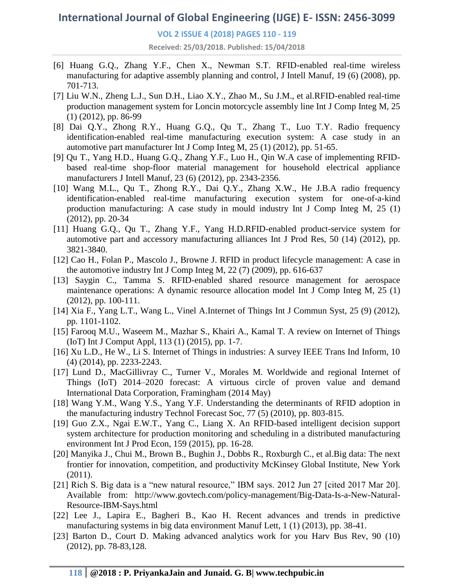#### **VOL 2 ISSUE 4 (2018) PAGES 110 - 119**

**Received: 25/03/2018. Published: 15/04/2018**

- [6] Huang G.Q., Zhang Y.F., Chen X., Newman S.T. RFID-enabled real-time wireless manufacturing for adaptive assembly planning and control, J Intell Manuf, 19 (6) (2008), pp. 701-713.
- [7] Liu W.N., Zheng L.J., Sun D.H., Liao X.Y., Zhao M., Su J.M., et al.RFID-enabled real-time production management system for Loncin motorcycle assembly line Int J Comp Integ M, 25 (1) (2012), pp. 86-99
- [8] Dai Q.Y., Zhong R.Y., Huang G.Q., Qu T., Zhang T., Luo T.Y. Radio frequency identification-enabled real-time manufacturing execution system: A case study in an automotive part manufacturer Int J Comp Integ M, 25 (1) (2012), pp. 51-65.
- [9] Qu T., Yang H.D., Huang G.Q., Zhang Y.F., Luo H., Qin W.A case of implementing RFIDbased real-time shop-floor material management for household electrical appliance manufacturers J Intell Manuf, 23 (6) (2012), pp. 2343-2356.
- [10] Wang M.L., Qu T., Zhong R.Y., Dai Q.Y., Zhang X.W., He J.B.A radio frequency identification-enabled real-time manufacturing execution system for one-of-a-kind production manufacturing: A case study in mould industry Int J Comp Integ M, 25 (1) (2012), pp. 20-34
- [11] Huang G.Q., Qu T., Zhang Y.F., Yang H.D.RFID-enabled product-service system for automotive part and accessory manufacturing alliances Int J Prod Res, 50 (14) (2012), pp. 3821-3840.
- [12] Cao H., Folan P., Mascolo J., Browne J. RFID in product lifecycle management: A case in the automotive industry Int J Comp Integ M, 22 (7) (2009), pp. 616-637
- [13] Saygin C., Tamma S. RFID-enabled shared resource management for aerospace maintenance operations: A dynamic resource allocation model Int J Comp Integ M, 25 (1) (2012), pp. 100-111.
- [14] Xia F., Yang L.T., Wang L., Vinel A.Internet of Things Int J Commun Syst, 25 (9) (2012), pp. 1101-1102.
- [15] Farooq M.U., Waseem M., Mazhar S., Khairi A., Kamal T. A review on Internet of Things (IoT) Int J Comput Appl, 113 (1) (2015), pp. 1-7.
- [16] Xu L.D., He W., Li S. Internet of Things in industries: A survey IEEE Trans Ind Inform, 10 (4) (2014), pp. 2233-2243.
- [17] Lund D., MacGillivray C., Turner V., Morales M. Worldwide and regional Internet of Things (IoT) 2014–2020 forecast: A virtuous circle of proven value and demand International Data Corporation, Framingham (2014 May)
- [18] Wang Y.M., Wang Y.S., Yang Y.F. Understanding the determinants of RFID adoption in the manufacturing industry Technol Forecast Soc, 77 (5) (2010), pp. 803-815.
- [19] Guo Z.X., Ngai E.W.T., Yang C., Liang X. An RFID-based intelligent decision support system architecture for production monitoring and scheduling in a distributed manufacturing environment Int J Prod Econ, 159 (2015), pp. 16-28.
- [20] Manyika J., Chui M., Brown B., Bughin J., Dobbs R., Roxburgh C., et al.Big data: The next frontier for innovation, competition, and productivity McKinsey Global Institute, New York (2011).
- [21] Rich S. Big data is a "new natural resource," IBM says. 2012 Jun 27 [cited 2017 Mar 20]. Available from: http://www.govtech.com/policy-management/Big-Data-Is-a-New-Natural-Resource-IBM-Says.html
- [22] Lee J., Lapira E., Bagheri B., Kao H. Recent advances and trends in predictive manufacturing systems in big data environment Manuf Lett, 1 (1) (2013), pp. 38-41.
- [23] Barton D., Court D. Making advanced analytics work for you Harv Bus Rev, 90 (10) (2012), pp. 78-83,128.